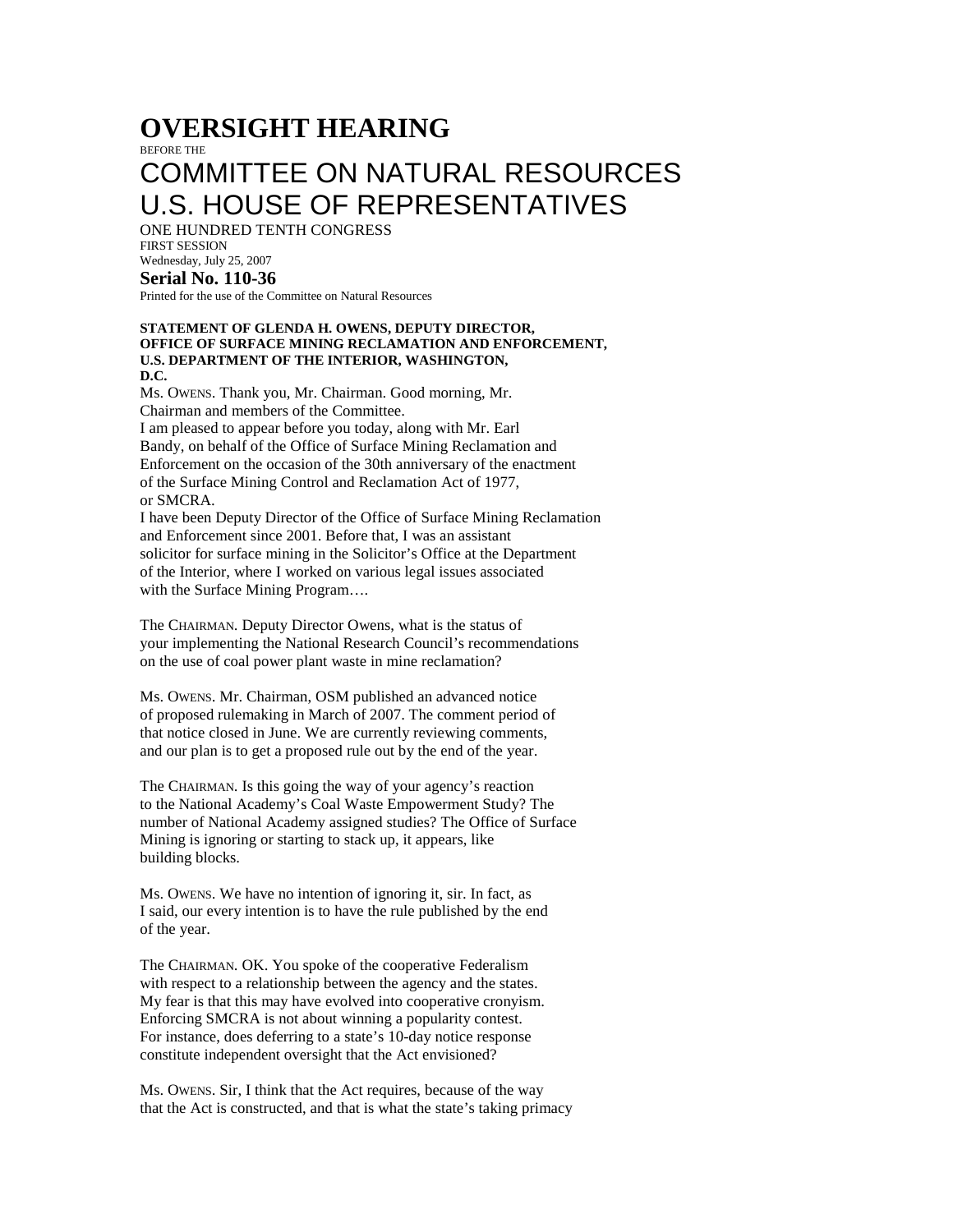## **OVERSIGHT HEARING**  BEFORE THE COMMITTEE ON NATURAL RESOURCES U.S. HOUSE OF REPRESENTATIVES

ONE HUNDRED TENTH CONGRESS FIRST SESSION Wednesday, July 25, 2007 **Serial No. 110-36** 

Printed for the use of the Committee on Natural Resources

## **STATEMENT OF GLENDA H. OWENS, DEPUTY DIRECTOR, OFFICE OF SURFACE MINING RECLAMATION AND ENFORCEMENT, U.S. DEPARTMENT OF THE INTERIOR, WASHINGTON, D.C.**

Ms. OWENS. Thank you, Mr. Chairman. Good morning, Mr. Chairman and members of the Committee. I am pleased to appear before you today, along with Mr. Earl Bandy, on behalf of the Office of Surface Mining Reclamation and Enforcement on the occasion of the 30th anniversary of the enactment of the Surface Mining Control and Reclamation Act of 1977, or SMCRA.

I have been Deputy Director of the Office of Surface Mining Reclamation and Enforcement since 2001. Before that, I was an assistant solicitor for surface mining in the Solicitor's Office at the Department of the Interior, where I worked on various legal issues associated with the Surface Mining Program….

The CHAIRMAN. Deputy Director Owens, what is the status of your implementing the National Research Council's recommendations on the use of coal power plant waste in mine reclamation?

Ms. OWENS. Mr. Chairman, OSM published an advanced notice of proposed rulemaking in March of 2007. The comment period of that notice closed in June. We are currently reviewing comments, and our plan is to get a proposed rule out by the end of the year.

The CHAIRMAN. Is this going the way of your agency's reaction to the National Academy's Coal Waste Empowerment Study? The number of National Academy assigned studies? The Office of Surface Mining is ignoring or starting to stack up, it appears, like building blocks.

Ms. OWENS. We have no intention of ignoring it, sir. In fact, as I said, our every intention is to have the rule published by the end of the year.

The CHAIRMAN. OK. You spoke of the cooperative Federalism with respect to a relationship between the agency and the states. My fear is that this may have evolved into cooperative cronyism. Enforcing SMCRA is not about winning a popularity contest. For instance, does deferring to a state's 10-day notice response constitute independent oversight that the Act envisioned?

Ms. OWENS. Sir, I think that the Act requires, because of the way that the Act is constructed, and that is what the state's taking primacy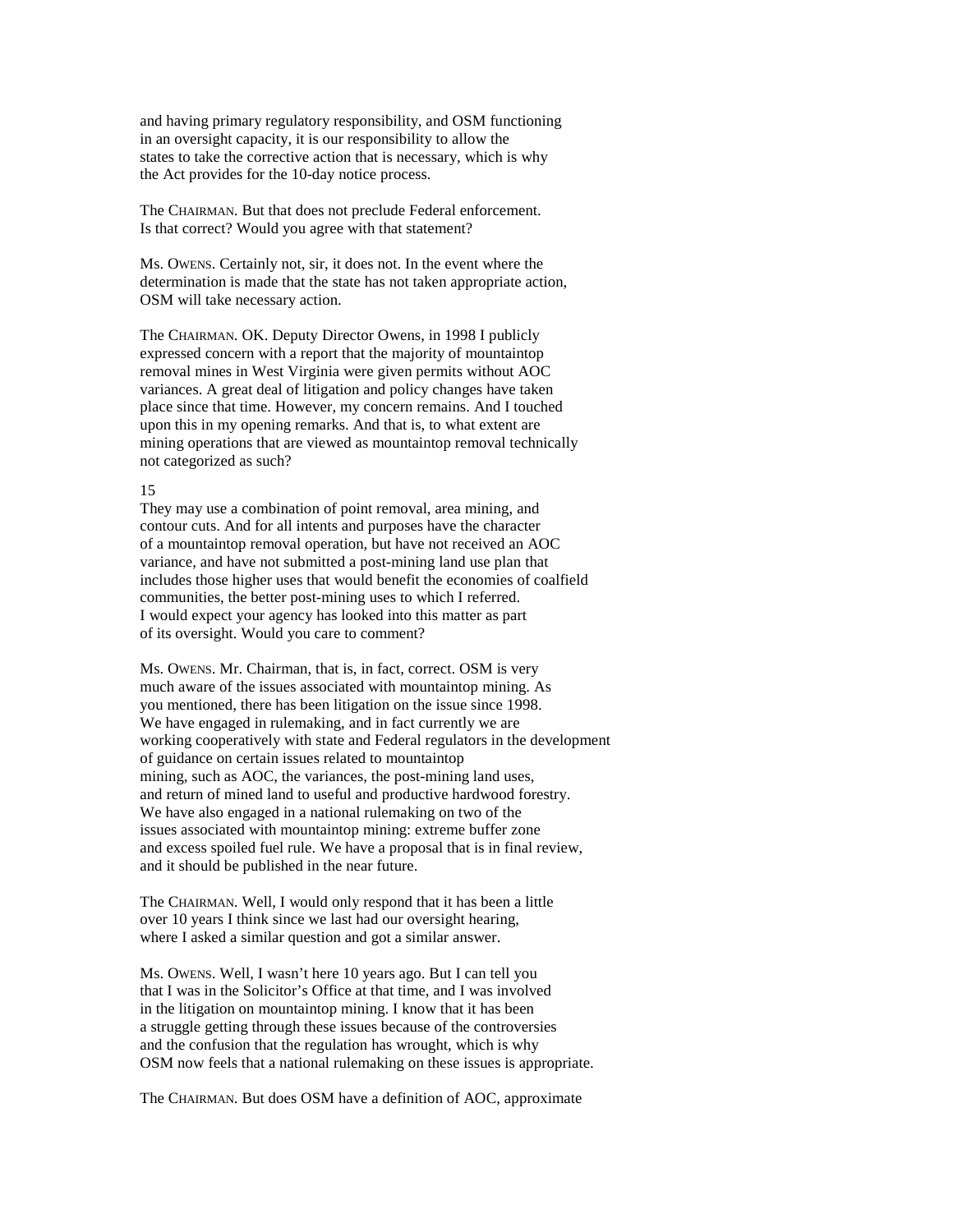and having primary regulatory responsibility, and OSM functioning in an oversight capacity, it is our responsibility to allow the states to take the corrective action that is necessary, which is why the Act provides for the 10-day notice process.

The CHAIRMAN. But that does not preclude Federal enforcement. Is that correct? Would you agree with that statement?

Ms. OWENS. Certainly not, sir, it does not. In the event where the determination is made that the state has not taken appropriate action, OSM will take necessary action.

The CHAIRMAN. OK. Deputy Director Owens, in 1998 I publicly expressed concern with a report that the majority of mountaintop removal mines in West Virginia were given permits without AOC variances. A great deal of litigation and policy changes have taken place since that time. However, my concern remains. And I touched upon this in my opening remarks. And that is, to what extent are mining operations that are viewed as mountaintop removal technically not categorized as such?

## 15

They may use a combination of point removal, area mining, and contour cuts. And for all intents and purposes have the character of a mountaintop removal operation, but have not received an AOC variance, and have not submitted a post-mining land use plan that includes those higher uses that would benefit the economies of coalfield communities, the better post-mining uses to which I referred. I would expect your agency has looked into this matter as part of its oversight. Would you care to comment?

Ms. OWENS. Mr. Chairman, that is, in fact, correct. OSM is very much aware of the issues associated with mountaintop mining. As you mentioned, there has been litigation on the issue since 1998. We have engaged in rulemaking, and in fact currently we are working cooperatively with state and Federal regulators in the development of guidance on certain issues related to mountaintop mining, such as AOC, the variances, the post-mining land uses, and return of mined land to useful and productive hardwood forestry. We have also engaged in a national rulemaking on two of the issues associated with mountaintop mining: extreme buffer zone and excess spoiled fuel rule. We have a proposal that is in final review, and it should be published in the near future.

The CHAIRMAN. Well, I would only respond that it has been a little over 10 years I think since we last had our oversight hearing, where I asked a similar question and got a similar answer.

Ms. OWENS. Well, I wasn't here 10 years ago. But I can tell you that I was in the Solicitor's Office at that time, and I was involved in the litigation on mountaintop mining. I know that it has been a struggle getting through these issues because of the controversies and the confusion that the regulation has wrought, which is why OSM now feels that a national rulemaking on these issues is appropriate.

The CHAIRMAN. But does OSM have a definition of AOC, approximate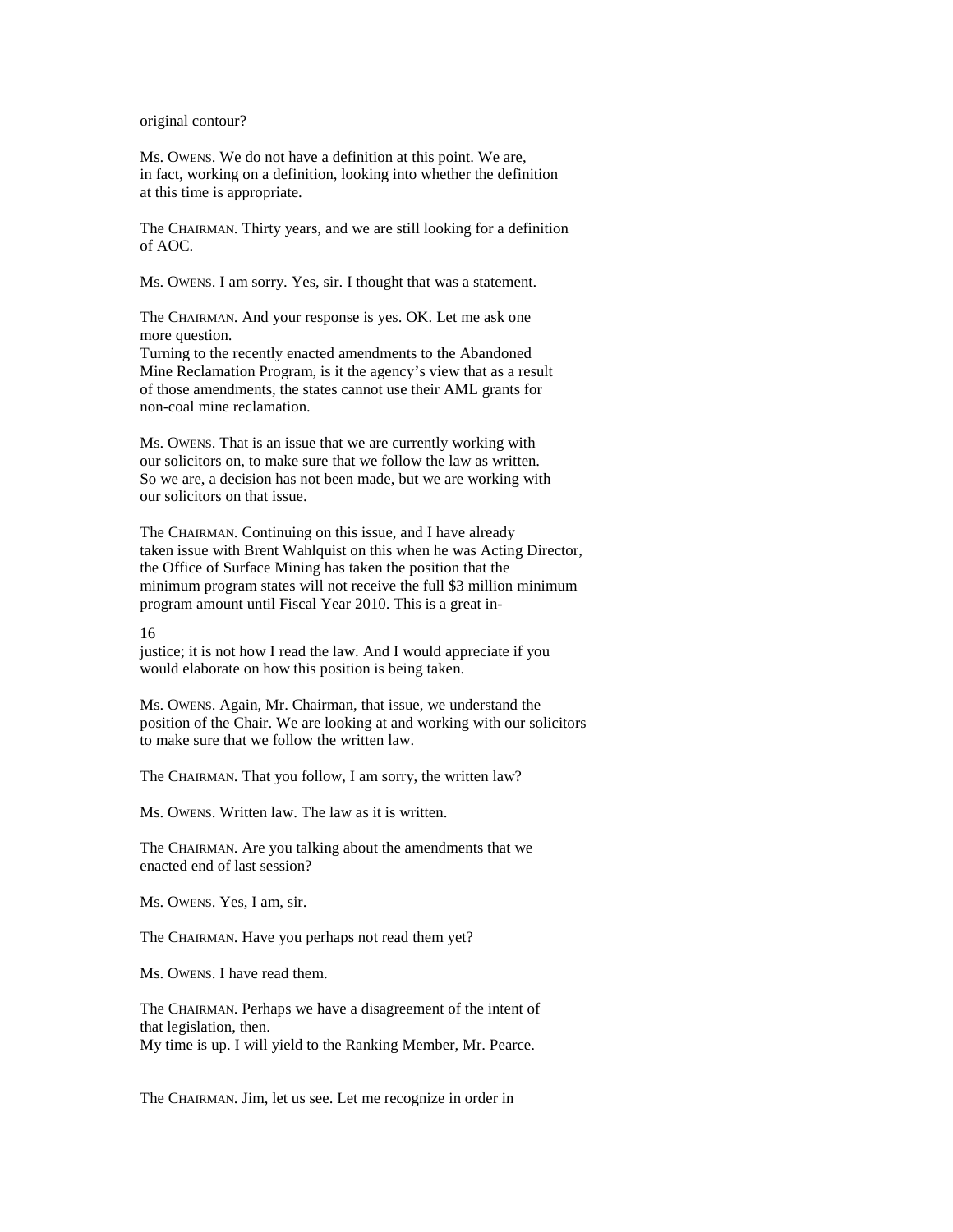original contour?

Ms. OWENS. We do not have a definition at this point. We are, in fact, working on a definition, looking into whether the definition at this time is appropriate.

The CHAIRMAN. Thirty years, and we are still looking for a definition of AOC.

Ms. OWENS. I am sorry. Yes, sir. I thought that was a statement.

The CHAIRMAN. And your response is yes. OK. Let me ask one more question.

Turning to the recently enacted amendments to the Abandoned Mine Reclamation Program, is it the agency's view that as a result of those amendments, the states cannot use their AML grants for non-coal mine reclamation.

Ms. OWENS. That is an issue that we are currently working with our solicitors on, to make sure that we follow the law as written. So we are, a decision has not been made, but we are working with our solicitors on that issue.

The CHAIRMAN. Continuing on this issue, and I have already taken issue with Brent Wahlquist on this when he was Acting Director, the Office of Surface Mining has taken the position that the minimum program states will not receive the full \$3 million minimum program amount until Fiscal Year 2010. This is a great in-

16

justice; it is not how I read the law. And I would appreciate if you would elaborate on how this position is being taken.

Ms. OWENS. Again, Mr. Chairman, that issue, we understand the position of the Chair. We are looking at and working with our solicitors to make sure that we follow the written law.

The CHAIRMAN. That you follow, I am sorry, the written law?

Ms. OWENS. Written law. The law as it is written.

The CHAIRMAN. Are you talking about the amendments that we enacted end of last session?

Ms. OWENS. Yes, I am, sir.

The CHAIRMAN. Have you perhaps not read them yet?

Ms. OWENS. I have read them.

The CHAIRMAN. Perhaps we have a disagreement of the intent of that legislation, then. My time is up. I will yield to the Ranking Member, Mr. Pearce.

The CHAIRMAN. Jim, let us see. Let me recognize in order in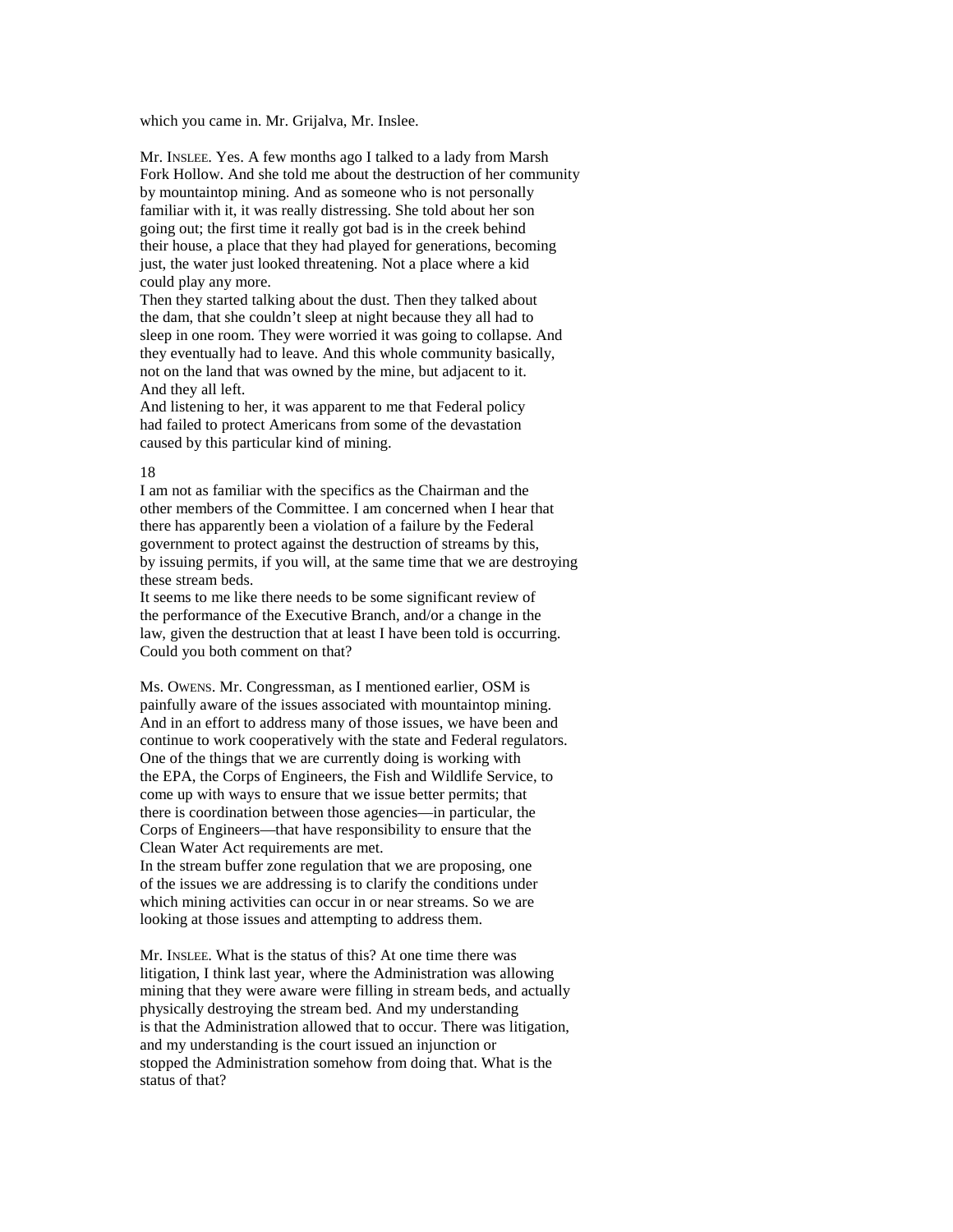which you came in. Mr. Grijalva, Mr. Inslee.

Mr. INSLEE. Yes. A few months ago I talked to a lady from Marsh Fork Hollow. And she told me about the destruction of her community by mountaintop mining. And as someone who is not personally familiar with it, it was really distressing. She told about her son going out; the first time it really got bad is in the creek behind their house, a place that they had played for generations, becoming just, the water just looked threatening. Not a place where a kid could play any more.

Then they started talking about the dust. Then they talked about the dam, that she couldn't sleep at night because they all had to sleep in one room. They were worried it was going to collapse. And they eventually had to leave. And this whole community basically, not on the land that was owned by the mine, but adjacent to it. And they all left.

And listening to her, it was apparent to me that Federal policy had failed to protect Americans from some of the devastation caused by this particular kind of mining.

## 18

I am not as familiar with the specifics as the Chairman and the other members of the Committee. I am concerned when I hear that there has apparently been a violation of a failure by the Federal government to protect against the destruction of streams by this, by issuing permits, if you will, at the same time that we are destroying these stream beds.

It seems to me like there needs to be some significant review of the performance of the Executive Branch, and/or a change in the law, given the destruction that at least I have been told is occurring. Could you both comment on that?

Ms. OWENS. Mr. Congressman, as I mentioned earlier, OSM is painfully aware of the issues associated with mountaintop mining. And in an effort to address many of those issues, we have been and continue to work cooperatively with the state and Federal regulators. One of the things that we are currently doing is working with the EPA, the Corps of Engineers, the Fish and Wildlife Service, to come up with ways to ensure that we issue better permits; that there is coordination between those agencies—in particular, the Corps of Engineers—that have responsibility to ensure that the Clean Water Act requirements are met.

In the stream buffer zone regulation that we are proposing, one of the issues we are addressing is to clarify the conditions under which mining activities can occur in or near streams. So we are looking at those issues and attempting to address them.

Mr. INSLEE. What is the status of this? At one time there was litigation, I think last year, where the Administration was allowing mining that they were aware were filling in stream beds, and actually physically destroying the stream bed. And my understanding is that the Administration allowed that to occur. There was litigation, and my understanding is the court issued an injunction or stopped the Administration somehow from doing that. What is the status of that?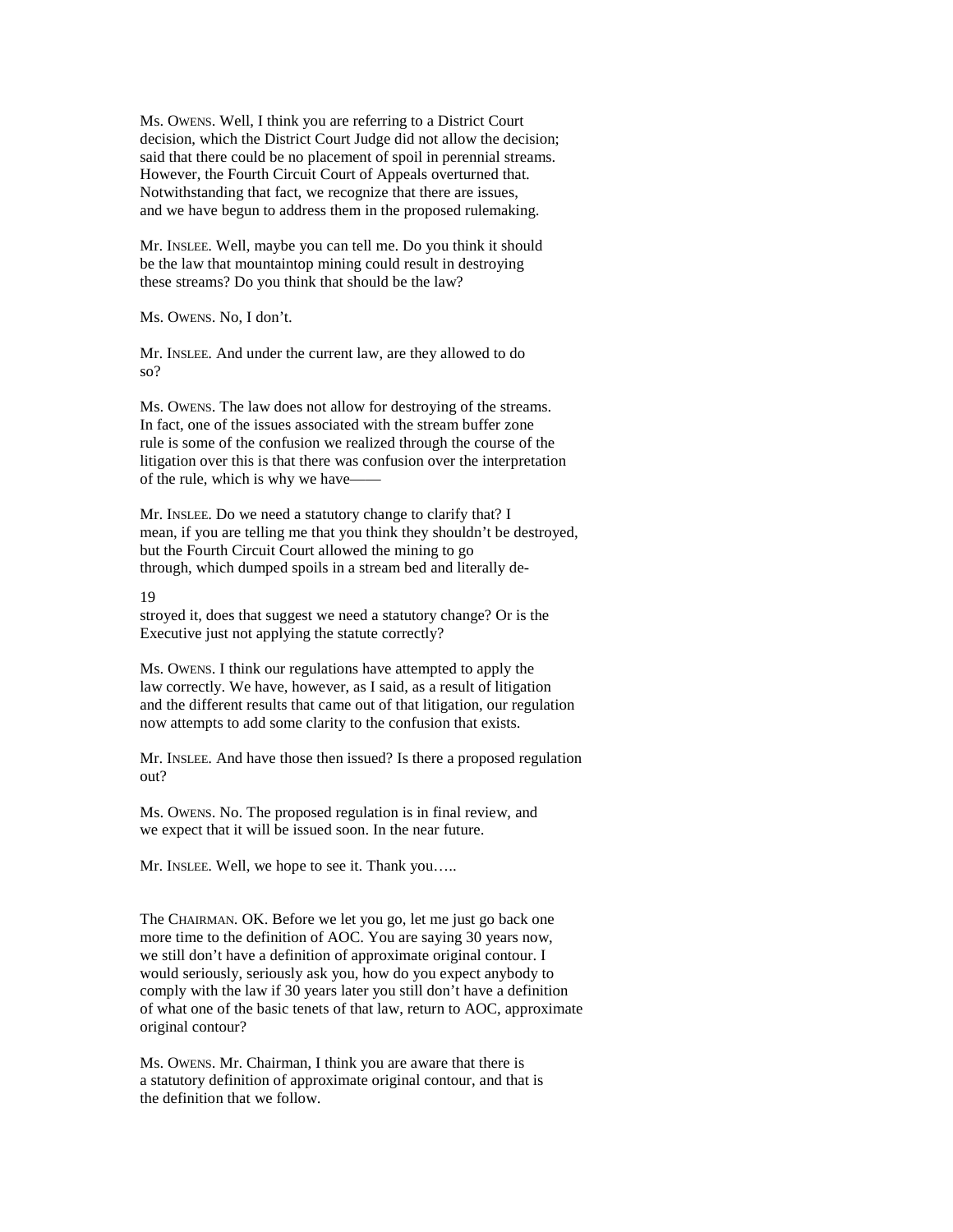Ms. OWENS. Well, I think you are referring to a District Court decision, which the District Court Judge did not allow the decision; said that there could be no placement of spoil in perennial streams. However, the Fourth Circuit Court of Appeals overturned that. Notwithstanding that fact, we recognize that there are issues, and we have begun to address them in the proposed rulemaking.

Mr. INSLEE. Well, maybe you can tell me. Do you think it should be the law that mountaintop mining could result in destroying these streams? Do you think that should be the law?

Ms. OWENS. No, I don't.

Mr. INSLEE. And under the current law, are they allowed to do so?

Ms. OWENS. The law does not allow for destroying of the streams. In fact, one of the issues associated with the stream buffer zone rule is some of the confusion we realized through the course of the litigation over this is that there was confusion over the interpretation of the rule, which is why we have——

Mr. INSLEE. Do we need a statutory change to clarify that? I mean, if you are telling me that you think they shouldn't be destroyed, but the Fourth Circuit Court allowed the mining to go through, which dumped spoils in a stream bed and literally de-

19

stroyed it, does that suggest we need a statutory change? Or is the Executive just not applying the statute correctly?

Ms. OWENS. I think our regulations have attempted to apply the law correctly. We have, however, as I said, as a result of litigation and the different results that came out of that litigation, our regulation now attempts to add some clarity to the confusion that exists.

Mr. INSLEE. And have those then issued? Is there a proposed regulation out?

Ms. OWENS. No. The proposed regulation is in final review, and we expect that it will be issued soon. In the near future.

Mr. INSLEE. Well, we hope to see it. Thank you…..

The CHAIRMAN. OK. Before we let you go, let me just go back one more time to the definition of AOC. You are saying 30 years now, we still don't have a definition of approximate original contour. I would seriously, seriously ask you, how do you expect anybody to comply with the law if 30 years later you still don't have a definition of what one of the basic tenets of that law, return to AOC, approximate original contour?

Ms. OWENS. Mr. Chairman, I think you are aware that there is a statutory definition of approximate original contour, and that is the definition that we follow.